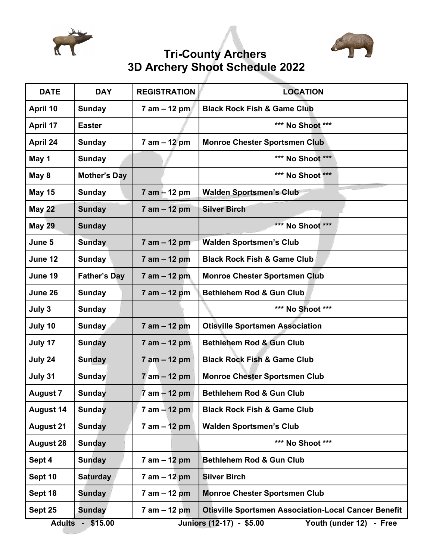



# **Tri-County Archers 3D Archery Shoot Schedule 2022**

| <b>DATE</b>                  | <b>DAY</b>          | <b>REGISTRATION</b> | <b>LOCATION</b>                                             |
|------------------------------|---------------------|---------------------|-------------------------------------------------------------|
| April 10                     | <b>Sunday</b>       | $7$ am $-$ 12 pm    | <b>Black Rock Fish &amp; Game Club</b>                      |
| April 17                     | <b>Easter</b>       |                     | *** No Shoot ***                                            |
| April 24                     | <b>Sunday</b>       | $7$ am $-$ 12 pm    | <b>Monroe Chester Sportsmen Club</b>                        |
| May 1                        | <b>Sunday</b>       |                     | *** No Shoot ***                                            |
| May 8                        | <b>Mother's Day</b> |                     | *** No Shoot ***                                            |
| <b>May 15</b>                | <b>Sunday</b>       | $7$ am $-$ 12 pm    | <b>Walden Sportsmen's Club</b>                              |
| <b>May 22</b>                | <b>Sunday</b>       | $7$ am $-$ 12 pm    | <b>Silver Birch</b>                                         |
| <b>May 29</b>                | <b>Sunday</b>       |                     | *** No Shoot ***                                            |
| June 5                       | <b>Sunday</b>       | $7$ am $-$ 12 pm    | <b>Walden Sportsmen's Club</b>                              |
| June 12                      | <b>Sunday</b>       | $7$ am $-$ 12 pm    | <b>Black Rock Fish &amp; Game Club</b>                      |
| June 19                      | <b>Father's Day</b> | $7$ am $-$ 12 pm    | <b>Monroe Chester Sportsmen Club</b>                        |
| June 26                      | <b>Sunday</b>       | $7$ am $-$ 12 pm    | <b>Bethlehem Rod &amp; Gun Club</b>                         |
| July 3                       | <b>Sunday</b>       |                     | *** No Shoot ***                                            |
| July 10                      | Sunday              | 7 am - 12 pm        | <b>Otisville Sportsmen Association</b>                      |
| July 17                      | <b>Sunday</b>       | $7$ am $-$ 12 pm    | <b>Bethlehem Rod &amp; Gun Club</b>                         |
| July 24                      | <b>Sunday</b>       | $7$ am $-$ 12 pm    | <b>Black Rock Fish &amp; Game Club</b>                      |
| July 31                      | Sunday              | $7$ am $-$ 12 pm    | <b>Monroe Chester Sportsmen Club</b>                        |
| <b>August 7</b>              | <b>Sunday</b>       | $7$ am $-$ 12 pm    | <b>Bethlehem Rod &amp; Gun Club</b>                         |
| <b>August 14</b>             | Sunday              | $7$ am $-$ 12 pm    | <b>Black Rock Fish &amp; Game Club</b>                      |
| <b>August 21</b>             | <b>Sunday</b>       | $7$ am $-$ 12 pm    | <b>Walden Sportsmen's Club</b>                              |
| <b>August 28</b>             | <b>Sunday</b>       |                     | *** No Shoot ***                                            |
| Sept 4                       | <b>Sunday</b>       | $7$ am $-12$ pm     | <b>Bethlehem Rod &amp; Gun Club</b>                         |
| Sept 10                      | <b>Saturday</b>     | $7$ am $-$ 12 pm    | <b>Silver Birch</b>                                         |
| Sept 18                      | <b>Sunday</b>       | $7$ am $-$ 12 pm    | <b>Monroe Chester Sportsmen Club</b>                        |
| Sept 25                      | <b>Sunday</b>       | $7$ am $-$ 12 pm    | <b>Otisville Sportsmen Association-Local Cancer Benefit</b> |
| <b>Adults</b><br>$-$ \$15.00 |                     |                     | Juniors (12-17) - \$5.00<br>Youth (under 12)<br>- Free      |